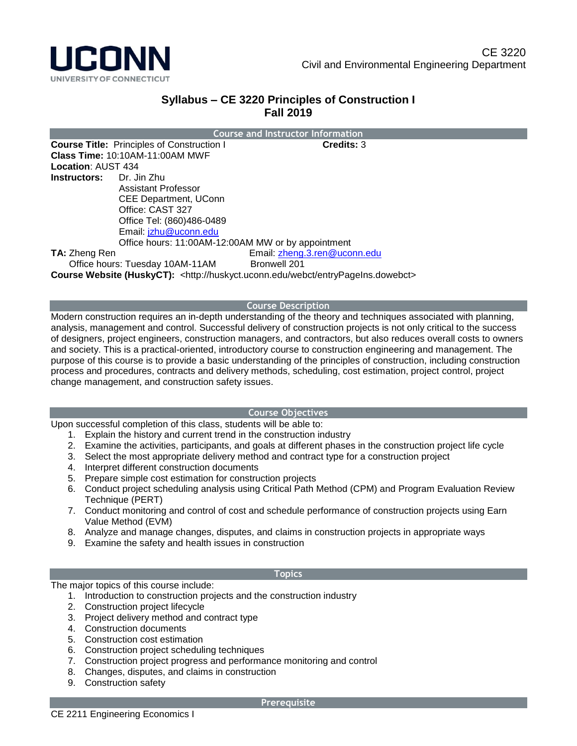

# **Syllabus – CE 3220 Principles of Construction I Fall 2019**

|                                 |                                                    | <b>Course and Instructor Information</b> |
|---------------------------------|----------------------------------------------------|------------------------------------------|
|                                 | <b>Course Title: Principles of Construction I</b>  | <b>Credits: 3</b>                        |
|                                 | <b>Class Time: 10:10AM-11:00AM MWF</b>             |                                          |
| <b>Location: AUST 434</b>       |                                                    |                                          |
| <b>Instructors:</b> Dr. Jin Zhu |                                                    |                                          |
|                                 | Assistant Professor                                |                                          |
|                                 | CEE Department, UConn                              |                                          |
|                                 | Office: CAST 327                                   |                                          |
|                                 | Office Tel: (860)486-0489                          |                                          |
|                                 | Email: jzhu@uconn.edu                              |                                          |
|                                 | Office hours: 11:00AM-12:00AM MW or by appointment |                                          |
| <b>TA: Zheng Ren</b>            |                                                    | Email: zheng.3.ren@uconn.edu             |
| Office hours: Tuesday 10AM-11AM |                                                    | <b>Bronwell 201</b>                      |
|                                 |                                                    | Course Website (HuskyCT):<br>            |

**Course Website (HuskyCT):** <http://huskyct.uconn.edu/webct/entryPageIns.dowebct>

### **Course Description**

Modern construction requires an in-depth understanding of the theory and techniques associated with planning, analysis, management and control. Successful delivery of construction projects is not only critical to the success of designers, project engineers, construction managers, and contractors, but also reduces overall costs to owners and society. This is a practical-oriented, introductory course to construction engineering and management. The purpose of this course is to provide a basic understanding of the principles of construction, including construction process and procedures, contracts and delivery methods, scheduling, cost estimation, project control, project change management, and construction safety issues.

### **Course Objectives**

Upon successful completion of this class, students will be able to:

- 1. Explain the history and current trend in the construction industry
- 2. Examine the activities, participants, and goals at different phases in the construction project life cycle
- 3. Select the most appropriate delivery method and contract type for a construction project
- 4. Interpret different construction documents
- 5. Prepare simple cost estimation for construction projects
- 6. Conduct project scheduling analysis using Critical Path Method (CPM) and Program Evaluation Review Technique (PERT)
- 7. Conduct monitoring and control of cost and schedule performance of construction projects using Earn Value Method (EVM)
- 8. Analyze and manage changes, disputes, and claims in construction projects in appropriate ways
- 9. Examine the safety and health issues in construction

#### **Topics**

The major topics of this course include:

- 1. Introduction to construction projects and the construction industry
- 2. Construction project lifecycle
- 3. Project delivery method and contract type
- 4. Construction documents
- 5. Construction cost estimation
- 6. Construction project scheduling techniques
- 7. Construction project progress and performance monitoring and control
- 8. Changes, disputes, and claims in construction
- 9. Construction safety

#### **Prerequisite**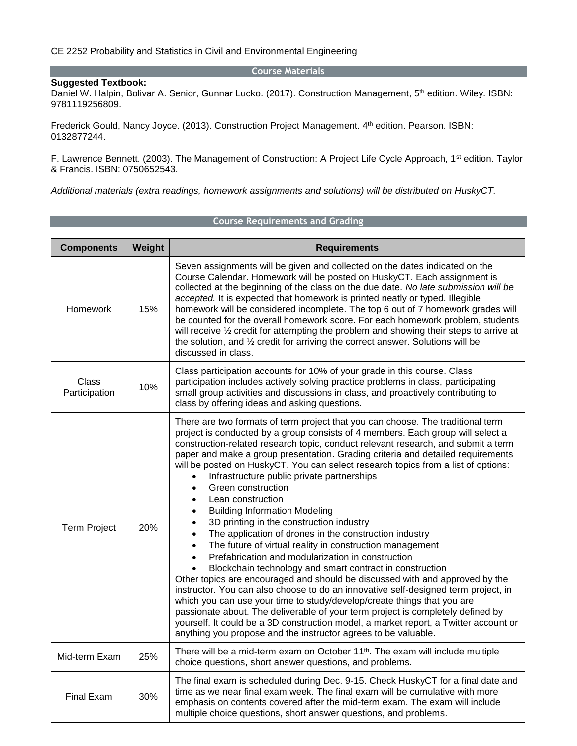#### **Course Materials**

#### **Suggested Textbook:**

Daniel W. Halpin, Bolivar A. Senior, Gunnar Lucko. (2017). Construction Management, 5<sup>th</sup> edition. Wiley. ISBN: 9781119256809.

Frederick Gould, Nancy Joyce. (2013). Construction Project Management. 4th edition. Pearson. ISBN: 0132877244.

F. Lawrence Bennett. (2003). The Management of Construction: A Project Life Cycle Approach, 1<sup>st</sup> edition. Taylor & Francis. ISBN: 0750652543.

*Additional materials (extra readings, homework assignments and solutions) will be distributed on HuskyCT.*

| <b>Components</b>             | Weight | <b>Requirements</b>                                                                                                                                                                                                                                                                                                                                                                                                                                                                                                                                                                                                                                                                                                                                                                                                                                                                                                                                                                                                                                                                                                                                                                                                                                                                                                                                                                           |  |
|-------------------------------|--------|-----------------------------------------------------------------------------------------------------------------------------------------------------------------------------------------------------------------------------------------------------------------------------------------------------------------------------------------------------------------------------------------------------------------------------------------------------------------------------------------------------------------------------------------------------------------------------------------------------------------------------------------------------------------------------------------------------------------------------------------------------------------------------------------------------------------------------------------------------------------------------------------------------------------------------------------------------------------------------------------------------------------------------------------------------------------------------------------------------------------------------------------------------------------------------------------------------------------------------------------------------------------------------------------------------------------------------------------------------------------------------------------------|--|
| Homework                      | 15%    | Seven assignments will be given and collected on the dates indicated on the<br>Course Calendar. Homework will be posted on HuskyCT. Each assignment is<br>collected at the beginning of the class on the due date. No late submission will be<br>accepted. It is expected that homework is printed neatly or typed. Illegible<br>homework will be considered incomplete. The top 6 out of 7 homework grades will<br>be counted for the overall homework score. For each homework problem, students<br>will receive 1/2 credit for attempting the problem and showing their steps to arrive at<br>the solution, and 1/2 credit for arriving the correct answer. Solutions will be<br>discussed in class.                                                                                                                                                                                                                                                                                                                                                                                                                                                                                                                                                                                                                                                                                       |  |
| <b>Class</b><br>Participation | 10%    | Class participation accounts for 10% of your grade in this course. Class<br>participation includes actively solving practice problems in class, participating<br>small group activities and discussions in class, and proactively contributing to<br>class by offering ideas and asking questions.                                                                                                                                                                                                                                                                                                                                                                                                                                                                                                                                                                                                                                                                                                                                                                                                                                                                                                                                                                                                                                                                                            |  |
| <b>Term Project</b>           | 20%    | There are two formats of term project that you can choose. The traditional term<br>project is conducted by a group consists of 4 members. Each group will select a<br>construction-related research topic, conduct relevant research, and submit a term<br>paper and make a group presentation. Grading criteria and detailed requirements<br>will be posted on HuskyCT. You can select research topics from a list of options:<br>Infrastructure public private partnerships<br>Green construction<br>$\bullet$<br>Lean construction<br>$\bullet$<br><b>Building Information Modeling</b><br>٠<br>3D printing in the construction industry<br>The application of drones in the construction industry<br>The future of virtual reality in construction management<br>$\bullet$<br>Prefabrication and modularization in construction<br>Blockchain technology and smart contract in construction<br>Other topics are encouraged and should be discussed with and approved by the<br>instructor. You can also choose to do an innovative self-designed term project, in<br>which you can use your time to study/develop/create things that you are<br>passionate about. The deliverable of your term project is completely defined by<br>yourself. It could be a 3D construction model, a market report, a Twitter account or<br>anything you propose and the instructor agrees to be valuable. |  |
| Mid-term Exam                 | 25%    | There will be a mid-term exam on October 11 <sup>th</sup> . The exam will include multiple<br>choice questions, short answer questions, and problems.                                                                                                                                                                                                                                                                                                                                                                                                                                                                                                                                                                                                                                                                                                                                                                                                                                                                                                                                                                                                                                                                                                                                                                                                                                         |  |
| <b>Final Exam</b>             | 30%    | The final exam is scheduled during Dec. 9-15. Check HuskyCT for a final date and<br>time as we near final exam week. The final exam will be cumulative with more<br>emphasis on contents covered after the mid-term exam. The exam will include<br>multiple choice questions, short answer questions, and problems.                                                                                                                                                                                                                                                                                                                                                                                                                                                                                                                                                                                                                                                                                                                                                                                                                                                                                                                                                                                                                                                                           |  |

#### **Course Requirements and Grading**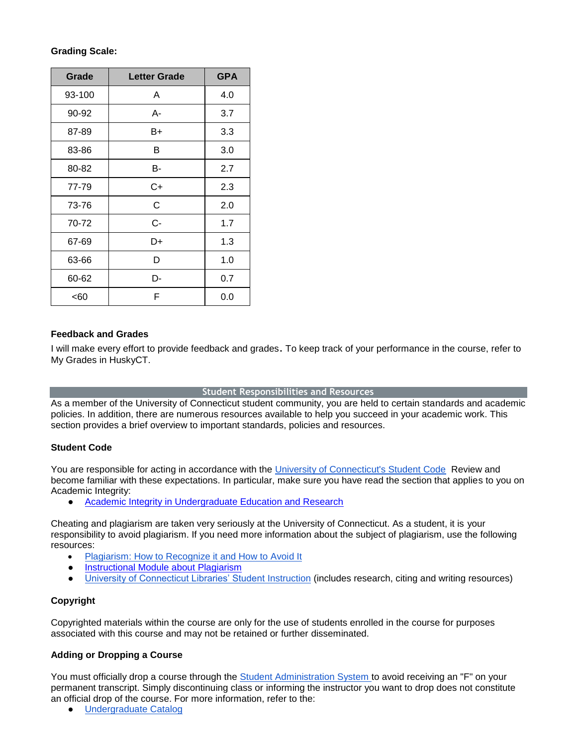## **Grading Scale:**

| Grade  | <b>Letter Grade</b> | <b>GPA</b> |
|--------|---------------------|------------|
| 93-100 | A                   | 4.0        |
| 90-92  | А-                  | 3.7        |
| 87-89  | B+                  | 3.3        |
| 83-86  | В                   | 3.0        |
| 80-82  | В-                  | 2.7        |
| 77-79  | $C+$                | 2.3        |
| 73-76  | C                   | 2.0        |
| 70-72  | C-                  | 1.7        |
| 67-69  | D+                  | 1.3        |
| 63-66  | D                   | 1.0        |
| 60-62  | D-                  | 0.7        |
| <60    | F                   | 0.0        |

## **Feedback and Grades**

I will make every effort to provide feedback and grades. To keep track of your performance in the course, refer to My Grades in HuskyCT.

## **Student Responsibilities and Resources**

As a member of the University of Connecticut student community, you are held to certain standards and academic policies. In addition, there are numerous resources available to help you succeed in your academic work. This section provides a brief overview to important standards, policies and resources.

## **Student Code**

You are responsible for acting in accordance with the [University of Connecticut's Student Code](http://community.uconn.edu/the-student-code/) Review and become familiar with these expectations. In particular, make sure you have read the section that applies to you on Academic Integrity:

● [Academic Integrity in Undergraduate Education and Research](http://community.uconn.edu/the-student-code-appendix-a/)

Cheating and plagiarism are taken very seriously at the University of Connecticut. As a student, it is your responsibility to avoid plagiarism. If you need more information about the subject of plagiarism, use the following resources:

- [Plagiarism: How to Recognize it and How to Avoid It](http://lib.uconn.edu/instruction/tutorials/plagiarism.htm)
- [Instructional Module about Plagiarism](http://web.uconn.edu/irc/PlagiarismModule/intro_m.htm)
- [University of Connecticut Libraries' Student Instruction](http://lib.uconn.edu/about/get-help/start-guides/undergraduate-students/) (includes research, citing and writing resources)

# **Copyright**

Copyrighted materials within the course are only for the use of students enrolled in the course for purposes associated with this course and may not be retained or further disseminated.

# **Adding or Dropping a Course**

You must officially drop a course through the [Student Administration System](http://studentadmin.uconn.edu/) to avoid receiving an "F" on your permanent transcript. Simply discontinuing class or informing the instructor you want to drop does not constitute an official drop of the course. For more information, refer to the:

● [Undergraduate Catalog](http://catalog.uconn.edu/)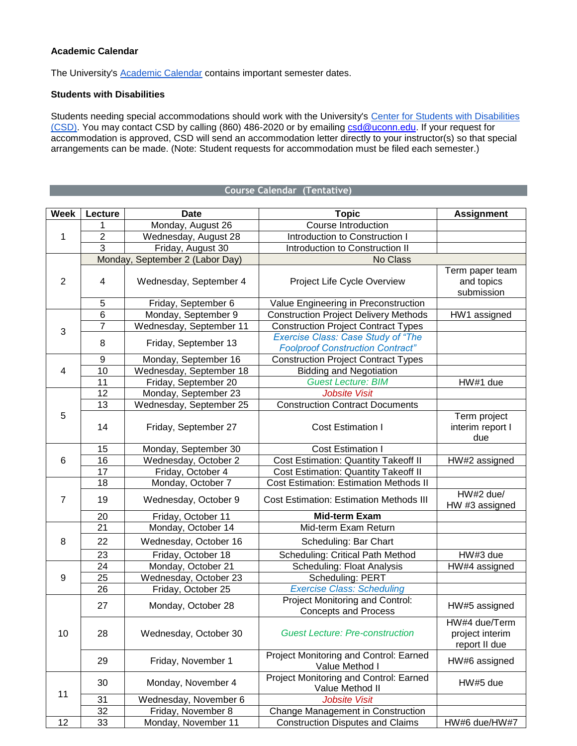### **Academic Calendar**

The University's **Academic Calendar** contains important semester dates.

### **Students with Disabilities**

Students needing special accommodations should work with the University's Center for Students with Disabilities [\(CSD\).](http://csd.uconn.edu/) You may contact CSD by calling (860) 486-2020 or by emailing [csd@uconn.edu.](mailto:csd@uconn.edu) If your request for accommodation is approved, CSD will send an accommodation letter directly to your instructor(s) so that special arrangements can be made. (Note: Student requests for accommodation must be filed each semester.)

### **Course Calendar (Tentative)**

| <b>Week</b>    | Lecture          | <b>Date</b>                     | <b>Topic</b>                                                                         | <b>Assignment</b>                                 |
|----------------|------------------|---------------------------------|--------------------------------------------------------------------------------------|---------------------------------------------------|
| 1              | 1                | Monday, August 26               | <b>Course Introduction</b>                                                           |                                                   |
|                | $\boldsymbol{2}$ | Wednesday, August 28            | Introduction to Construction I                                                       |                                                   |
|                | 3                | Friday, August 30               | Introduction to Construction II                                                      |                                                   |
|                |                  | Monday, September 2 (Labor Day) | No Class                                                                             |                                                   |
| $\overline{2}$ | $\overline{4}$   | Wednesday, September 4          | Project Life Cycle Overview                                                          | Term paper team<br>and topics<br>submission       |
|                | 5                | Friday, September 6             | Value Engineering in Preconstruction                                                 |                                                   |
|                | $6\phantom{1}6$  | Monday, September 9             | <b>Construction Project Delivery Methods</b>                                         | HW1 assigned                                      |
|                | $\overline{7}$   | Wednesday, September 11         | <b>Construction Project Contract Types</b>                                           |                                                   |
| 3              | 8                | Friday, September 13            | <b>Exercise Class: Case Study of "The</b><br><b>Foolproof Construction Contract"</b> |                                                   |
|                | 9                | Monday, September 16            | <b>Construction Project Contract Types</b>                                           |                                                   |
| 4              | 10               | Wednesday, September 18         | <b>Bidding and Negotiation</b>                                                       |                                                   |
|                | 11               | Friday, September 20            | <b>Guest Lecture: BIM</b>                                                            | HW#1 due                                          |
|                | 12               | Monday, September 23            | <b>Jobsite Visit</b>                                                                 |                                                   |
| 5              | $\overline{13}$  | Wednesday, September 25         | <b>Construction Contract Documents</b>                                               |                                                   |
|                | 14               | Friday, September 27            | <b>Cost Estimation I</b>                                                             | Term project<br>interim report I<br>due           |
|                | 15               | Monday, September 30            | <b>Cost Estimation I</b>                                                             |                                                   |
| 6              | 16               | Wednesday, October 2            | <b>Cost Estimation: Quantity Takeoff II</b>                                          | HW#2 assigned                                     |
|                | $\overline{17}$  | Friday, October 4               | <b>Cost Estimation: Quantity Takeoff II</b>                                          |                                                   |
|                | 18               | Monday, October 7               | <b>Cost Estimation: Estimation Methods II</b>                                        |                                                   |
| $\overline{7}$ | 19               | Wednesday, October 9            | <b>Cost Estimation: Estimation Methods III</b>                                       | HW#2 due/<br>HW #3 assigned                       |
|                | 20               | Friday, October 11              | <b>Mid-term Exam</b>                                                                 |                                                   |
|                | 21               | Monday, October 14              | Mid-term Exam Return                                                                 |                                                   |
| 8              | 22               | Wednesday, October 16           | Scheduling: Bar Chart                                                                |                                                   |
|                | 23               | Friday, October 18              | Scheduling: Critical Path Method                                                     | HW#3 due                                          |
|                | 24               | Monday, October 21              | <b>Scheduling: Float Analysis</b>                                                    | HW#4 assigned                                     |
| 9              | 25               | Wednesday, October 23           | Scheduling: PERT                                                                     |                                                   |
|                | 26               | Friday, October 25              | <b>Exercise Class: Scheduling</b>                                                    |                                                   |
| 10             | 27               | Monday, October 28              | Project Monitoring and Control:<br><b>Concepts and Process</b>                       | HW#5 assigned                                     |
|                | 28               | Wednesday, October 30           | <b>Guest Lecture: Pre-construction</b>                                               | HW#4 due/Term<br>project interim<br>report II due |
|                | 29               | Friday, November 1              | Project Monitoring and Control: Earned<br>Value Method I                             | HW#6 assigned                                     |
| 11             | 30               | Monday, November 4              | Project Monitoring and Control: Earned<br>Value Method II                            | HW#5 due                                          |
|                | 31               | Wednesday, November 6           | <b>Jobsite Visit</b>                                                                 |                                                   |
|                | 32               | Friday, November 8              | Change Management in Construction                                                    |                                                   |
| 12             | 33               | Monday, November 11             | <b>Construction Disputes and Claims</b>                                              | HW#6 due/HW#7                                     |